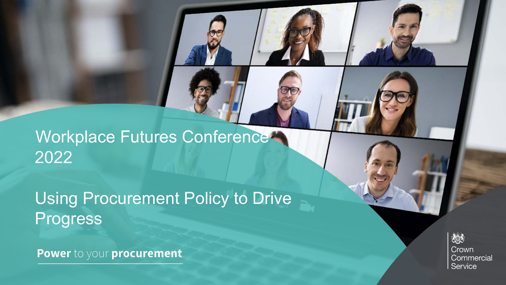Workplace Futures Conference 2022

Using Procurement Policy to Drive **Progress** 

Power to your procurement

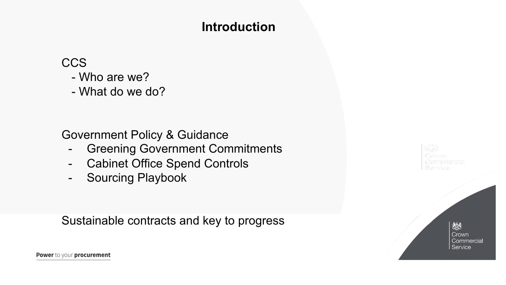## **Introduction**

**CCS** 

- Who are we?
- What do we do?

Government Policy & Guidance

- Greening Government Commitments
- Cabinet Office Spend Controls
- Sourcing Playbook

Sustainable contracts and key to progress

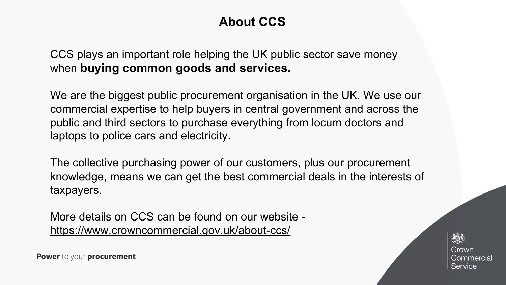# **About CCS**

CCS plays an important role helping the UK public sector save money when **buying common goods and services.**

We are the biggest public procurement organisation in the UK. We use our commercial expertise to help buyers in central government and across the public and third sectors to purchase everything from locum doctors and laptops to police cars and electricity.

The collective purchasing power of our customers, plus our procurement knowledge, means we can get the best commercial deals in the interests of taxpayers.

More details on CCS can be found on our website <https://www.crowncommercial.gov.uk/about-ccs/>

次ぶ Crown Commercial Service

Power to your procurement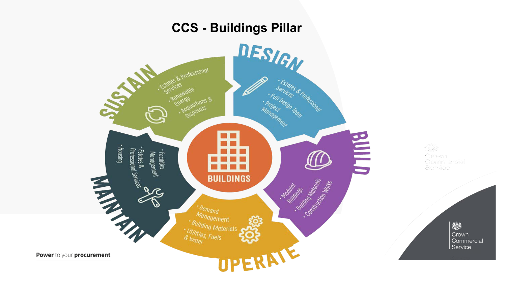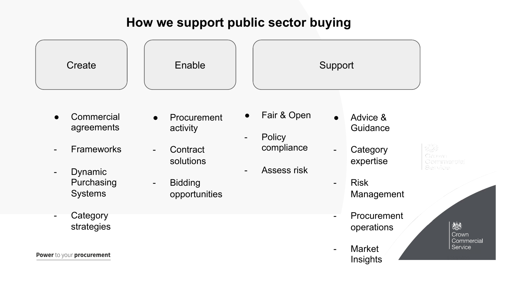#### **How we support public sector buying**

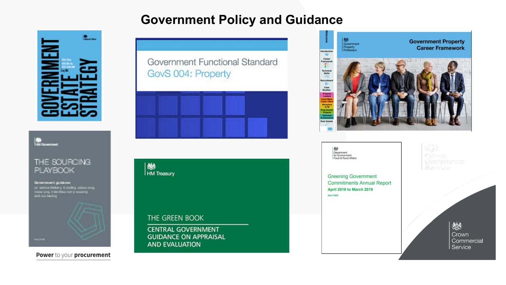### **Government Policy and Guidance**





#### THE SOURCING **PLAYBOOK**

**Grimmwrt** gullanie as we show a finite sy it also<br>this inducation of the set of  $\mathcal{C}$  is a set of<br>the set of the set of the set of the set of the set of the set of<br>  $\mathcal{C}$ 



Power to your procurement

Government Functional Standard GovS 004: Property



**卷**<br>HM Treasury

THE GREEN BOOK

**CENTRAL GOVERNMENT GUIDANCE ON APPRAISAL AND EVALUATION** 



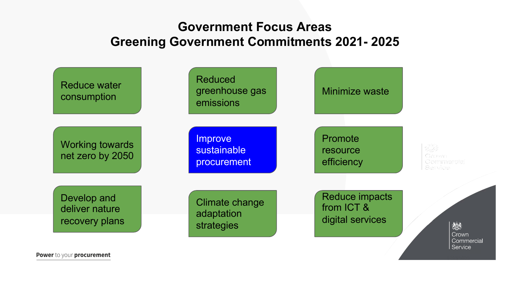## **Government Focus Areas Greening Government Commitments 2021- 2025**

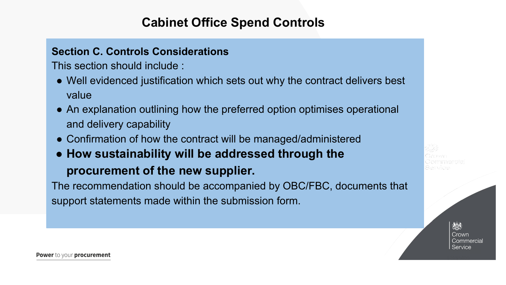### **Cabinet Office Spend Controls**

#### **Section C. Controls Considerations**

This section should include :

- Well evidenced justification which sets out why the contract delivers best value
- An explanation outlining how the preferred option optimises operational and delivery capability
- Confirmation of how the contract will be managed/administered
- **How sustainability will be addressed through the**

#### **procurement of the new supplier.**

The recommendation should be accompanied by OBC/FBC, documents that support statements made within the submission form.

ぬき Crown Commercial Service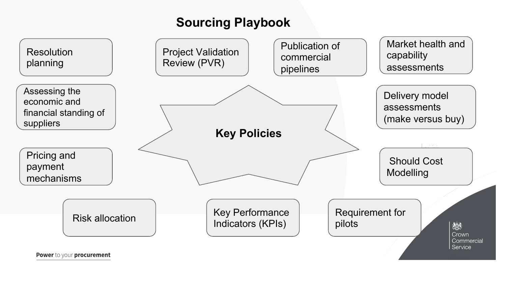# **Sourcing Playbook**

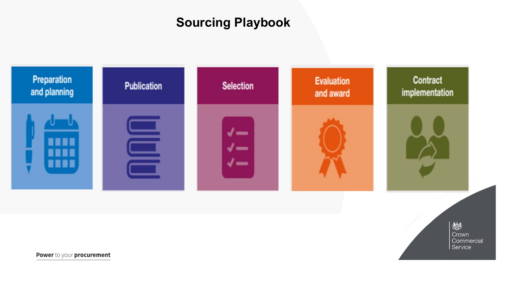# **Sourcing Playbook**